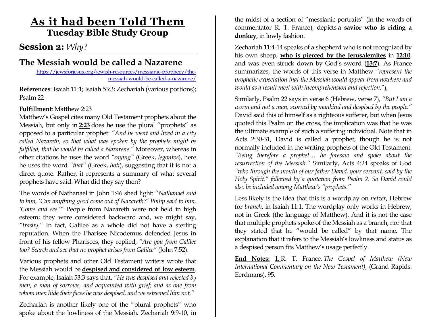# **As it had been Told Them Tuesday Bible Study Group**

### **Session 2:** *Why?*

## **The Messiah would be called a Nazarene**

[https://jewsforjesus.org/jewish-resources/messianic-prophecy/the](https://jewsforjesus.org/jewish-resources/messianic-prophecy/the-messiah-would-be-called-a-nazarene/)[messiah-would-be-called-a-nazarene/](https://jewsforjesus.org/jewish-resources/messianic-prophecy/the-messiah-would-be-called-a-nazarene/)

**References**: Isaiah 11:1; Isaiah 53:3; Zechariah (various portions); Psalm 22

### **Fulfillment**: Matthew 2:23

Matthew's Gospel cites many Old Testament prophets about the Messiah, but only in **[2:23](https://biblia.com/bible/esv/matthew/2/23)** does he use the plural "prophets" as opposed to a particular prophet: *"And he went and lived in a city called Nazareth, so that what was spoken by the prophets might be fulfilled, that he would be called a Nazarene."* Moreover, whereas in other citations he uses the word *"saying"* (Greek, *legontos*), here he uses the word *"that"* (Greek, *hoti*), suggesting that it is not a direct quote. Rather, it represents a summary of what several prophets have said. What did they say then?

The words of Nathanael in John 1:46 shed light: "*Nathanael said to him, 'Can anything good come out of Nazareth?' Philip said to him, 'Come and see.'"* People from Nazareth were not held in high esteem; they were considered backward and, we might say, *"trashy."* In fact, Galilee as a whole did not have a sterling reputation. When the Pharisee Nicodemus defended Jesus in front of his fellow Pharisees, they replied, *"Are you from Galilee too? Search and see that no prophet arises from Galilee"* (John 7:52).

Various prophets and other Old Testament writers wrote that the Messiah would be **[despised and considered of low esteem](https://jewsforjesus.org/jewish-resources/messianic-prophecy/the-messiah-would-be-the-suffering-servant)**. For example, Isaiah 53:3 says that, *"He was despised and rejected by men, a man of sorrows, and acquainted with grief; and as one from whom men hide their faces he was despised, and we esteemed him not."*

Zechariah is another likely one of the "plural prophets" who spoke about the lowliness of the Messiah. Zechariah 9:9-10, in the midst of a section of "messianic portraits" (in the words of commentator R. T. France), depicts **[a savior who is riding a](https://jewsforjesus.org/jewish-resources/messianic-prophecy/the-messiah-would-come-riding-on-a-donkey/)  [donkey](https://jewsforjesus.org/jewish-resources/messianic-prophecy/the-messiah-would-come-riding-on-a-donkey/)**, in lowly fashion.

Zechariah 11:4-14 speaks of a shepherd who is not recognized by his own sheep, **[who is pierced by the Jerusalemites](https://jewsforjesus.org/jewish-resources/messianic-prophecy/the-messiah-would-be-pierced/)** in **[12:10](https://biblia.com/bible/esv/zechariah/12/10)**, and was even struck down by God's sword (**[13:7](https://biblia.com/bible/esv/zechariah/13/7)**). As France summarizes, the words of this verse in Matthew *"represent the prophetic expectation that the Messiah would appear from nowhere and would as a result meet with incomprehension and rejection.*"**[1](https://jewsforjesus.org/jewish-resources/messianic-prophecy/the-messiah-would-be-called-a-nazarene/#_edn1)**

Similarly, Psalm 22 says in verse 6 (Hebrew, verse 7), *"But I am a worm and not a man, scorned by mankind and despised by the people."* David said this of himself as a righteous sufferer, but when Jesus quoted this Psalm on the cross, the implication was that he was the ultimate example of such a suffering individual. Note that in Acts 2:30-31, David is called a prophet, though he is not normally included in the writing prophets of the Old Testament: *"Being therefore a prophet… he foresaw and spoke about the resurrection of the Messiah."* Similarly, Acts 4:24 speaks of God *"who through the mouth of our father David, your servant, said by the Holy Spirit," followed by a quotation from Psalm 2. So David could also be included among Matthew's "prophets."*

Less likely is the idea that this is a wordplay on *netzer*, Hebrew for *branch*, in Isaiah 11:1. The wordplay only works in Hebrew, not in Greek (the language of Matthew). And it is not the case that multiple prophets spoke of the Messiah as a branch, nor that they stated that he "would be called" by that name. The explanation that it refers to the Messiah's lowliness and status as a despised person fits Matthew's usage perfectly.

**End Notes:** [1.](https://jewsforjesus.org/jewish-resources/messianic-prophecy/the-messiah-would-be-called-a-nazarene/#_ednref1) R. T. France, *The Gospel of Matthew (New International Commentary on the New Testament)*, (Grand Rapids: Eerdmans), 95.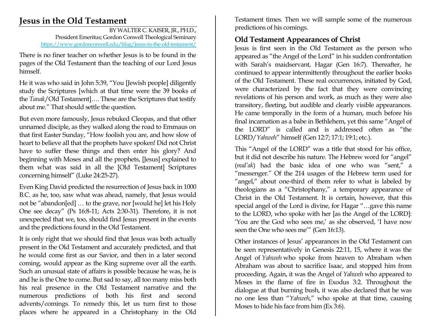## **Jesus in the Old Testament**

BY WALTER C. KAISER, JR., PH.D., President Emeritus; Gordon Conwell Theological Seminary <https://www.gordonconwell.edu/blog/jesus-in-the-old-testament/>

There is no finer teacher on whether Jesus is to be found in the pages of the Old Testament than the teaching of our Lord Jesus himself.

He it was who said in John 5:39, "You [Jewish people] diligently study the Scriptures [which at that time were the 39 books of the *Tanak*/Old Testament]…. These are the Scriptures that testify about me." That should settle the question.

But even more famously, Jesus rebuked Cleopas, and that other unnamed disciple, as they walked along the road to Emmaus on that first Easter Sunday, "How foolish you are, and how slow of heart to believe all that the prophets have spoken! Did not Christ have to suffer these things and then enter his glory? And beginning with Moses and all the prophets, [Jesus] explained to them what was said in all the [Old Testament] Scriptures concerning himself" (Luke 24:25-27).

Even King David predicted the resurrection of Jesus back in 1000 B.C. as he, too, saw what was ahead, namely, that Jesus would not be "abandon[ed] … to the grave, nor [would he] let his Holy One see decay" (Ps 16:8-11; Acts 2:30-31). Therefore, it is not unexpected that we, too, should find Jesus present in the events and the predictions found in the Old Testament.

It is only right that we should find that Jesus was both actually present in the Old Testament and accurately predicted, and that he would come first as our Savior, and then in a later second coming, would appear as the King supreme over all the earth. Such an unusual state of affairs is possible because he was, he is and he is the One to come. But sad to say, all too many miss both his real presence in the Old Testament narrative and the numerous predictions of both his first and second advents/comings. To remedy this, let us turn first to those places where he appeared in a Christophany in the Old Testament times. Then we will sample some of the numerous predictions of his comings.

### **Old Testament Appearances of Christ**

Jesus is first seen in the Old Testament as the person who appeared as "the Angel of the Lord" in his sudden confrontation with Sarah's maidservant, Hagar (Gen 16:7). Thereafter, he continued to appear intermittently throughout the earlier books of the Old Testament. These real occurrences, initiated by God, were characterized by the fact that they were convincing revelations of his person and work, as much as they were also transitory, fleeting, but audible and clearly visible appearances. He came temporally in the form of a human, much before his final incarnation as a babe in Bethlehem, yet this same "Angel of the LORD" is called and is addressed often as "the LORD/*Yahweh*" himself (Gen 12:7; 17:1; 19:1; etc.).

This "Angel of the LORD" was a title that stood for his office, but it did not describe his nature. The Hebrew word for "angel" (*mal'ak*) had the basic idea of one who was "sent," a "messenger." Of the 214 usages of the Hebrew term used for "angel," about one-third of them refer to what is labeled by theologians as a "Christophany," a temporary appearance of Christ in the Old Testament. It is certain, however, that this special angel of the Lord is divine, for Hagar "…gave this name to the LORD, who spoke with her [as the Angel of the LORD]: 'You are the God who sees me,' as she observed, 'I have now seen the One who sees me'" (Gen 16:13).

Other instances of Jesus' appearances in the Old Testament can be seen representatively in Genesis 22:11, 15, where it was the Angel of *Yahweh* who spoke from heaven to Abraham when Abraham was about to sacrifice Isaac, and stopped him from proceeding. Again, it was the Angel of *Yahweh* who appeared to Moses in the flame of fire in Exodus 3:2. Throughout the dialogue at that burning bush, it was also declared that he was no one less than "*Yahweh*," who spoke at that time, causing Moses to hide his face from him (Ex 3:6).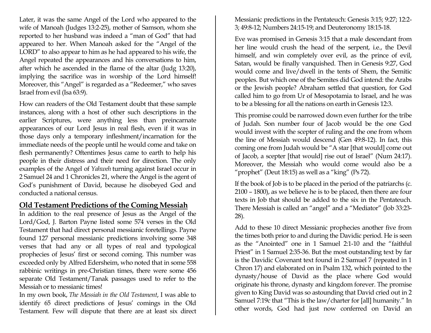Later, it was the same Angel of the Lord who appeared to the wife of Manoah (Judges 13:2-25), mother of Samson, whom she reported to her husband was indeed a "man of God" that had appeared to her. When Manoah asked for the "Angel of the LORD" to also appear to him as he had appeared to his wife, the Angel repeated the appearances and his conversations to him, after which he ascended in the flame of the altar (Judg 13:20), implying the sacrifice was in worship of the Lord himself! Moreover, this "Angel" is regarded as a "Redeemer," who saves Israel from evil (Isa 63:9).

How can readers of the Old Testament doubt that these sample instances, along with a host of other such descriptions in the earlier Scriptures, were anything less than preincarnate appearances of our Lord Jesus in real flesh, even if it was in those days only a temporary infleshment/incarnation for the immediate needs of the people until he would come and take on flesh permanently? Oftentimes Jesus came to earth to help his people in their distress and their need for direction. The only examples of the Angel of *Yahweh* turning against Israel occur in 2 Samuel 24 and 1 Chronicles 21, where the Angel is the agent of God's punishment of David, because he disobeyed God and conducted a national census.

### **Old Testament Predictions of the Coming Messiah**

In addition to the real presence of Jesus as the Angel of the Lord/God, J. Barton Payne listed some 574 verses in the Old Testament that had direct personal messianic foretellings. Payne found 127 personal messianic predictions involving some 348 verses that had any or all types of real and typological prophecies of Jesus' first or second coming. This number was exceeded only by Alfred Edersheim, who noted that in some 558 rabbinic writings in pre-Christian times, there were some 456 separate Old Testament/Tanak passages used to refer to the Messiah or to messianic times!

In my own book, *The Messiah in the Old Testament*, I was able to identify 65 direct predictions of Jesus' comings in the Old Testament. Few will dispute that there are at least six direct Messianic predictions in the Pentateuch: Genesis 3:15; 9:27; 12:2- 3; 49:8-12; Numbers 24:15-19; and Deuteronomy 18:15-18.

Eve was promised in Genesis 3:15 that a male descendant from her line would crush the head of the serpent, i.e., the Devil himself, and win completely over evil, as the prince of evil, Satan, would be finally vanquished. Then in Genesis 9:27, God would come and live/dwell in the tents of Shem, the Semitic peoples. But which one of the Semites did God intend: the Arabs or the Jewish people? Abraham settled that question, for God called him to go from Ur of Mesopotamia to Israel, and he was to be a blessing for all the nations on earth in Genesis 12:3.

This promise could be narrowed down even further for the tribe of Judah. Son number four of Jacob would be the one God would invest with the scepter of ruling and the one from whom the line of Messiah would descend (Gen 49:8-12). In fact, this coming one from Judah would be "A star [that would] come out of Jacob, a scepter [that would] rise out of Israel" (Num 24:17). Moreover, the Messiah who would come would also be a "prophet" (Deut 18:15) as well as a "king" (Ps 72).

If the book of Job is to be placed in the period of the patriarchs (c. 2100 – 1800), as we believe he is to be placed, then there are four texts in Job that should be added to the six in the Pentateuch. There Messiah is called an "angel" and a "Mediator" (Job 33:23- 28).

Add to these 10 direct Messianic prophecies another five from the times both prior to and during the Davidic period. He is seen as the "Anointed" one in 1 Samuel 2:1-10 and the "faithful Priest" in 1 Samuel 2:35-36. But the most outstanding text by far is the Davidic Covenant text found in 2 Samuel 7 (repeated in 1 Chron 17) and elaborated on in Psalm 132, which pointed to the dynasty/house of David as the place where God would originate his throne, dynasty and kingdom forever. The promise given to King David was so astounding that David cried out in 2 Samuel 7:19c that "This is the law/charter for [all] humanity." In other words, God had just now conferred on David an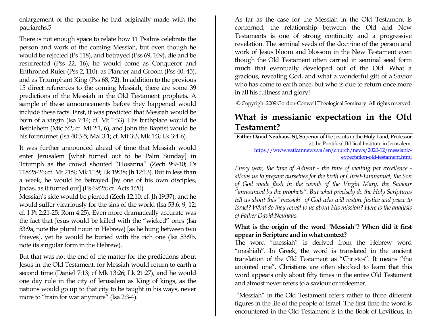enlargement of the promise he had originally made with the patriarchs.5

There is not enough space to relate how 11 Psalms celebrate the person and work of the coming Messiah, but even though he would be rejected (Ps 118), and betrayed (Pss 69, 109), die and be resurrected (Pss 22, 16), he would come as Conqueror and Enthroned Ruler (Pss 2, 110), as Planner and Groom (Pss 40, 45), and as Triumphant King (Pss 68, 72). In addition to the previous 15 direct references to the coming Messiah, there are some 39 predictions of the Messiah in the Old Testament prophets. A sample of these announcements before they happened would include these facts. First, it was predicted that Messiah would be born of a virgin (Isa 7:14; cf. Mt 1:33). His birthplace would be Bethlehem (Mic 5:2; cf. Mt 2:1, 6), and John the Baptist would be his forerunner (Isa 40:3-5; Mal 3:1; cf. Mt 3:3, Mk 1:3; Lk 3:4-6).

It was further announced ahead of time that Messiah would enter Jerusalem [what turned out to be Palm Sunday] in Triumph as the crowd shouted "Hosanna" (Zech 9:9-10; Ps 118:25-26; cf. Mt 21:9; Mk 11:9; Lk 19:38; Jh 12:13). But in less than a week, he would be betrayed [by one of his own disciples, Judas, as it turned out] (Ps 69:25; cf. Acts 1:20).

Messiah's side would be pierced (Zech 12:10; cf. Jh 19:37), and he would suffer vicariously for the sins of the world (Isa 53:6, 9, 12; cf. I Pt 2:21-25; Rom 4:25). Even more dramatically accurate was the fact that Jesus would be killed with the "wicked" ones (Isa 53:9a, note the plural noun in Hebrew) [as he hung between two thieves], yet he would be buried with the rich one (Isa 53:9b, note its singular form in the Hebrew).

But that was not the end of the matter for the predictions about Jesus in the Old Testament, for Messiah would return to earth a second time (Daniel 7:13; cf Mk 13:26; Lk 21:27), and he would one day rule in the city of Jerusalem as King of kings, as the nations would go up to that city to be taught in his ways, never more to "train for war anymore" (Isa 2:3-4).

As far as the case for the Messiah in the Old Testament is concerned, the relationship between the Old and New Testaments is one of strong continuity and a progressive revelation. The seminal seeds of the doctrine of the person and work of Jesus bloom and blossom in the New Testament even though the Old Testament often carried in seminal seed form much that eventually developed out of the Old. What a gracious, revealing God, and what a wonderful gift of a Savior who has come to earth once, but who is due to return once more in all his fullness and glory!

© Copyright 2009 Gordon-Conwell Theological Seminary. All rights reserved.

## **What is messianic expectation in the Old Testament?**

**Father David Neuhaus, SJ,** Superior of the Jesuits in the Holy Land; Professor at the Pontifical Biblical Institute in Jerusalem. [https://www.vaticannews.va/en/church/news/2020-12/messianic](https://www.vaticannews.va/en/church/news/2020-12/messianic-expectation-old-testament.html)[expectation-old-testament.html](https://www.vaticannews.va/en/church/news/2020-12/messianic-expectation-old-testament.html)

*Every year, the time of Advent - the time of waiting par excellence allows us to prepare ourselves for the birth of Christ-Emmanuel, the Son of God made flesh in the womb of the Virgin Mary, the Saviour "announced by the prophets". But what precisely do the Holy Scriptures tell us about this "messiah" of God who will restore justice and peace to Israel? What do they reveal to us about His mission? Here is the analysis of Father David Neuhaus.*

### **What is the origin of the word "Messiah"? When did it first appear in Scripture and in what context?**

The word "messiah" is derived from the Hebrew word "mashiah". In Greek, the word is translated in the ancient translation of the Old Testament as "Christos". It means "the anointed one". Christians are often shocked to learn that this word appears only about fifty times in the entire Old Testament and almost never refers to a saviour or redeemer.

"Messiah" in the Old Testament refers rather to three different figures in the life of the people of Israel. The first time the word is encountered in the Old Testament is in the Book of Leviticus, in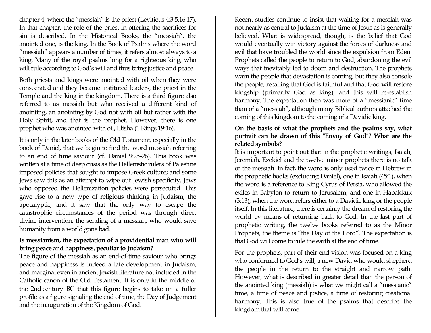chapter 4, where the "messiah" is the priest (Leviticus 4:3.5.16.17). In that chapter, the role of the priest in offering the sacrifices for sin is described. In the Historical Books, the "messiah", the anointed one, is the king. In the Book of Psalms where the word "messiah" appears a number of times, it refers almost always to a king. Many of the royal psalms long for a righteous king, who will rule according to God's will and thus bring justice and peace.

Both priests and kings were anointed with oil when they were consecrated and they became instituted leaders, the priest in the Temple and the king in the kingdom. There is a third figure also referred to as messiah but who received a different kind of anointing, an anointing by God not with oil but rather with the Holy Spirit, and that is the prophet. However, there is one prophet who was anointed with oil, Elisha (1 Kings 19:16).

It is only in the later books of the Old Testament, especially in the book of Daniel, that we begin to find the word messiah referring to an end of time saviour (cf. Daniel 9:25-26). This book was written at a time of deep crisis as the Hellenistic rulers of Palestine imposed policies that sought to impose Greek culture; and some Jews saw this as an attempt to wipe out Jewish specificity. Jews who opposed the Hellenization policies were persecuted. This gave rise to a new type of religious thinking in Judaism, the apocalyptic, and it saw that the only way to escape the catastrophic circumstances of the period was through direct divine intervention, the sending of a messiah, who would save humanity from a world gone bad.

#### **Is messianism, the expectation of a providential man who will bring peace and happiness, peculiar to Judaism?**

The figure of the messiah as an end-of-time saviour who brings peace and happiness is indeed a late development in Judaism, and marginal even in ancient Jewish literature not included in the Catholic canon of the Old Testament. It is only in the middle of the 2nd century BC that this figure begins to take on a fuller profile as a figure signaling the end of time, the Day of Judgement and the inauguration of the Kingdom of God.

Recent studies continue to insist that waiting for a messiah was not nearly as central to Judaism at the time of Jesus as is generally believed. What is widespread, though, is the belief that God would eventually win victory against the forces of darkness and evil that have troubled the world since the expulsion from Eden. Prophets called the people to return to God, abandoning the evil ways that inevitably led to doom and destruction. The prophets warn the people that devastation is coming, but they also console the people, recalling that God is faithful and that God will restore kingship (primarily God as king), and this will re-establish harmony. The expectation then was more of a "messianic" time than of a "messiah", although many Biblical authors attached the coming of this kingdom to the coming of a Davidic king.

#### **On the basis of what the prophets and the psalms say, what portrait can be drawn of this "Envoy of God"? What are the related symbols?**

It is important to point out that in the prophetic writings, Isaiah, Jeremiah, Ezekiel and the twelve minor prophets there is no talk of the messiah. In fact, the word is only used twice in Hebrew in the prophetic books (excluding Daniel), one in Isaiah (45:1), when the word is a reference to King Cyrus of Persia, who allowed the exiles in Babylon to return to Jerusalem, and one in Habakkuk (3:13), when the word refers either to a Davidic king or the people itself. In this literature, there is certainly the dream of restoring the world by means of returning back to God. In the last part of prophetic writing, the twelve books referred to as the Minor Prophets, the theme is "the Day of the Lord". The expectation is that God will come to rule the earth at the end of time.

For the prophets, part of their end-vision was focused on a king who conformed to God's will, a new David who would shepherd the people in the return to the straight and narrow path. However, what is described in greater detail than the person of the anointed king (messiah) is what we might call a "messianic" time, a time of peace and justice, a time of restoring creational harmony. This is also true of the psalms that describe the kingdom that will come.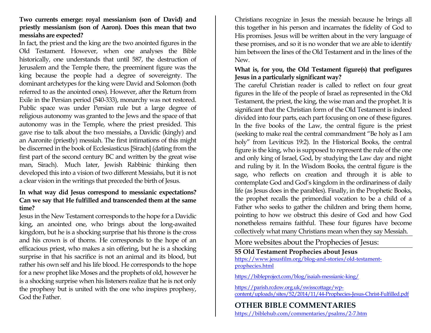### **Two currents emerge: royal messianism (son of David) and priestly messianism (son of Aaron). Does this mean that two messiahs are expected?**

In fact, the priest and the king are the two anointed figures in the Old Testament. However, when one analyses the Bible historically, one understands that until 587, the destruction of Jerusalem and the Temple there, the preeminent figure was the king because the people had a degree of sovereignty. The dominant archetypes for the king were David and Solomon (both referred to as the anointed ones). However, after the Return from Exile in the Persian period (540-333), monarchy was not restored. Public space was under Persian rule but a large degree of religious autonomy was granted to the Jews and the space of that autonomy was in the Temple, where the priest presided. This gave rise to talk about the two messiahs, a Davidic (kingly) and an Aaronite (priestly) messiah. The first intimations of this might be discerned in the book of Ecclesiasticus [Sirach] (dating from the first part of the second century BC and written by the great wise man, Sirach). Much later, Jewish Rabbinic thinking then developed this into a vision of two different Messiahs, but it is not a clear vision in the writings that preceded the birth of Jesus.

### **In what way did Jesus correspond to messianic expectations? Can we say that He fulfilled and transcended them at the same time?**

Jesus in the New Testament corresponds to the hope for a Davidic king, an anointed one, who brings about the long-awaited kingdom, but he is a shocking surprise that his throne is the cross and his crown is of thorns. He corresponds to the hope of an efficacious priest, who makes a sin offering, but he is a shocking surprise in that his sacrifice is not an animal and its blood, but rather his own self and his life blood. He corresponds to the hope for a new prophet like Moses and the prophets of old, however he is a shocking surprise when his listeners realize that he is not only the prophesy but is united with the one who inspires prophesy, God the Father.

Christians recognize in Jesus the messiah because he brings all this together in his person and incarnates the fidelity of God to His promises. Jesus will be written about in the very language of these promises, and so it is no wonder that we are able to identify him between the lines of the Old Testament and in the lines of the New.

### **What is, for you, the Old Testament figure(s) that prefigures Jesus in a particularly significant way?**

The careful Christian reader is called to reflect on four great figures in the life of the people of Israel as represented in the Old Testament, the priest, the king, the wise man and the prophet. It is significant that the Christian form of the Old Testament is indeed divided into four parts, each part focusing on one of these figures. In the five books of the Law, the central figure is the priest (seeking to make real the central commandment "Be holy as I am holy" from Leviticus 19:2). In the Historical Books, the central figure is the king, who is supposed to represent the rule of the one and only king of Israel, God, by studying the Law day and night and ruling by it. In the Wisdom Books, the central figure is the sage, who reflects on creation and through it is able to contemplate God and God's kingdom in the ordinariness of daily life (as Jesus does in the parables). Finally, in the Prophetic Books, the prophet recalls the primordial vocation to be a child of a Father who seeks to gather the children and bring them home, pointing to how we obstruct this desire of God and how God nonetheless remains faithful. These four figures have become collectively what many Christians mean when they say Messiah.

More websites about the Prophecies of Jesus:

**55 Old Testament Prophecies about Jesus** [https://www.jesusfilm.org/blog-and-stories/old-testament](https://www.jesusfilm.org/blog-and-stories/old-testament-prophecies.html)[prophecies.html](https://www.jesusfilm.org/blog-and-stories/old-testament-prophecies.html)

<https://bibleproject.com/blog/isaiah-messianic-king/>

[https://parish.rcdow.org.uk/swisscottage/wp](https://parish.rcdow.org.uk/swisscottage/wp-content/uploads/sites/52/2014/11/44-Prophecies-Jesus-Christ-Fulfilled.pdf)[content/uploads/sites/52/2014/11/44-Prophecies-Jesus-Christ-Fulfilled.pdf](https://parish.rcdow.org.uk/swisscottage/wp-content/uploads/sites/52/2014/11/44-Prophecies-Jesus-Christ-Fulfilled.pdf)

**OTHER BIBLE COMMENTARIES**  <https://biblehub.com/commentaries/psalms/2-7.htm>